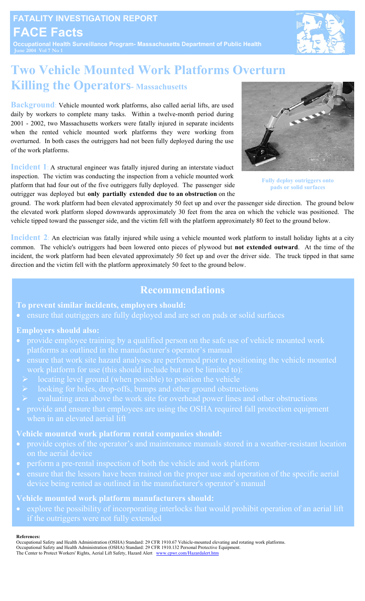

## **Two Vehicle Mounted Work Platforms Overturn Killing the Operators- Massachusetts**

**Background**: Vehicle mounted work platforms, also called aerial lifts, are used daily by workers to complete many tasks. Within a twelve-month period during 2001 - 2002, two Massachusetts workers were fatally injured in separate incidents when the rented vehicle mounted work platforms they were working from overturned. In both cases the outriggers had not been fully deployed during the use of the work platforms.

**Incident 1**: A structural engineer was fatally injured during an interstate viaduct inspection. The victim was conducting the inspection from a vehicle mounted work platform that had four out of the five outriggers fully deployed. The passenger side outrigger was deployed but **only partially extended due to an obstruction** on the

ground. The work platform had been elevated approximately 50 feet up and over the passenger side direction. The ground below the elevated work platform sloped downwards approximately 30 feet from the area on which the vehicle was positioned. The vehicle tipped toward the passenger side, and the victim fell with the platform approximately 80 feet to the ground below.

**Incident 2**: An electrician was fatally injured while using a vehicle mounted work platform to install holiday lights at a city common. The vehicle's outriggers had been lowered onto pieces of plywood but **not extended outward**. At the time of the incident, the work platform had been elevated approximately 50 feet up and over the driver side. The truck tipped in that same direction and the victim fell with the platform approximately 50 feet to the ground below.

### **Recommendations**

**To prevent similar incidents, employers should:** 

• ensure that outriggers are fully deployed and are set on pads or solid surfaces

#### **Employers should also:**

- provide employee training by a qualified person on the safe use of vehicle mounted work platforms as outlined in the manufacturer's operator's manual
- work platform for use (this should include but not be limited to):
	- locating level ground (when possible) to position the vehicle
	- looking for holes, drop-offs, bumps and other ground obstructions
	- evaluating area above the work site for overhead power lines and other obstructions
- provide and ensure that employees are using the OSHA required fall protection equipment when in an elevated aerial lift

#### **Vehicle mounted work platform rental companies should:**

- provide copies of the operator's and maintenance manuals stored in a weather-resistant location
- perform a pre-rental inspection of both the vehicle and work platform
- ensure that the lessors have been trained on the proper use and operation of the specific aerial device being rented as outlined in the manufacturer's operator's manual

#### **Vehicle mounted work platform manufacturers should:**

explore the possibility of incorporating interlocks that would prohibit operation of an aerial lift if the outriggers were not fully extended

#### **References:**

Occupational Safety and Health Administration (OSHA) Standard: 29 CFR 1910.67 Vehicle-mounted elevating and rotating work platforms. Occupational Safety and Health Administration (OSHA) Standard: 29 CFR 1910.132 Personal Protective Equipment. The Center to Protect Workers' Rights, Aerial Lift Safety, Hazard Alert www.cpwr.com/Hazardalert.htm







 **FATALITY INVESTIGATION REPORT FACE Facts**